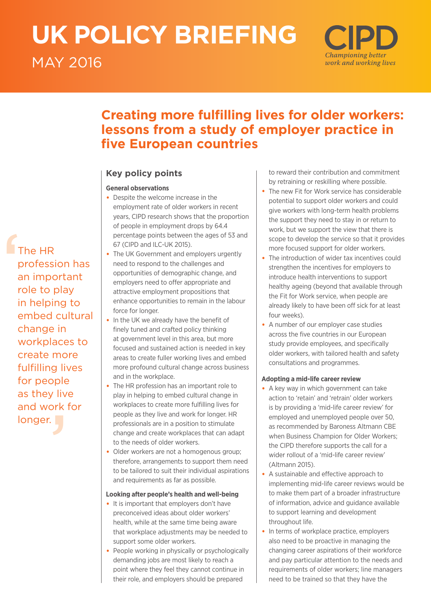# **UK POLICY BRIEFING**  MAY 2016

# Championing better work and working lives

## **Creating more fulfilling lives for older workers: lessons from a study of employer practice in five European countries**

## **Key policy points**

## **General observations**

- Despite the welcome increase in the employment rate of older workers in recent years, CIPD research shows that the proportion of people in employment drops by 64.4 percentage points between the ages of 53 and 67 (CIPD and ILC-UK 2015).
- The UK Government and employers urgently need to respond to the challenges and opportunities of demographic change, and employers need to offer appropriate and attractive employment propositions that enhance opportunities to remain in the labour force for longer.
- In the UK we already have the benefit of finely tuned and crafted policy thinking at government level in this area, but more focused and sustained action is needed in key areas to create fuller working lives and embed more profound cultural change across business and in the workplace.
- The HR profession has an important role to play in helping to embed cultural change in workplaces to create more fulfilling lives for people as they live and work for longer. HR professionals are in a position to stimulate change and create workplaces that can adapt to the needs of older workers.
- Older workers are not a homogenous group; therefore, arrangements to support them need to be tailored to suit their individual aspirations and requirements as far as possible.

## **Looking after people's health and well-being**

- It is important that employers don't have preconceived ideas about older workers' health, while at the same time being aware that workplace adjustments may be needed to support some older workers.
- People working in physically or psychologically demanding jobs are most likely to reach a point where they feel they cannot continue in their role, and employers should be prepared

to reward their contribution and commitment by retraining or reskilling where possible.

- The new Fit for Work service has considerable potential to support older workers and could give workers with long-term health problems the support they need to stay in or return to work, but we support the view that there is scope to develop the service so that it provides more focused support for older workers.
- The introduction of wider tax incentives could strengthen the incentives for employers to introduce health interventions to support healthy ageing (beyond that available through the Fit for Work service, when people are already likely to have been off sick for at least four weeks).
- A number of our employer case studies across the five countries in our European study provide employees, and specifically older workers, with tailored health and safety consultations and programmes.

## **Adopting a mid-life career review**

- A key way in which government can take action to 'retain' and 'retrain' older workers is by providing a 'mid-life career review' for employed and unemployed people over 50, as recommended by Baroness Altmann CBE when Business Champion for Older Workers; the CIPD therefore supports the call for a wider rollout of a 'mid-life career review' (Altmann 2015).
- A sustainable and effective approach to implementing mid-life career reviews would be to make them part of a broader infrastructure of information, advice and guidance available to support learning and development throughout life.
- In terms of workplace practice, employers also need to be proactive in managing the changing career aspirations of their workforce and pay particular attention to the needs and requirements of older workers; line managers need to be trained so that they have the

F<sub>T</sub><br>
F<sub>a</sub><br>
F<br>
ii for people<br>
as they live<br>
and work f<br>
longer.<br>
Yonger. The HR profession has an important role to play in helping to embed cultural change in workplaces to create more fulfilling lives as they live and work for longer.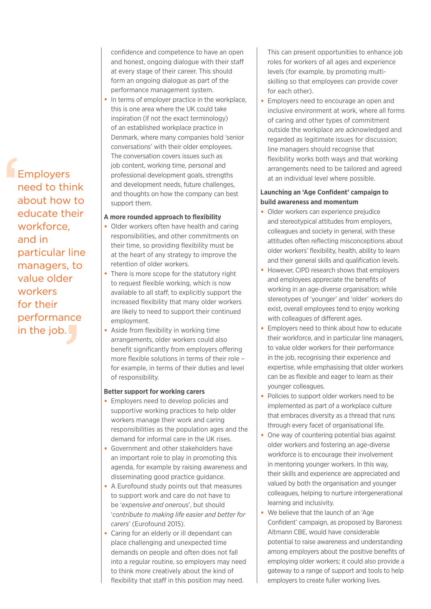E<br>
P<br>
R<br>
C<br>
C<br>
V<br>
V nce<br>J **Employers** need to think about how to educate their workforce, and in particular line managers, to value older workers for their performance in the job.

confidence and competence to have an open and honest, ongoing dialogue with their staff at every stage of their career. This should form an ongoing dialogue as part of the performance management system.

• In terms of employer practice in the workplace, this is one area where the UK could take inspiration (if not the exact terminology) of an established workplace practice in Denmark, where many companies hold 'senior conversations' with their older employees. The conversation covers issues such as job content, working time, personal and professional development goals, strengths and development needs, future challenges, and thoughts on how the company can best support them.

### **A more rounded approach to flexibility**

- Older workers often have health and caring responsibilities, and other commitments on their time, so providing flexibility must be at the heart of any strategy to improve the retention of older workers.
- There is more scope for the statutory right to request flexible working, which is now available to all staff, to explicitly support the increased flexibility that many older workers are likely to need to support their continued employment.
- Aside from flexibility in working time arrangements, older workers could also benefit significantly from employers offering more flexible solutions in terms of their role – for example, in terms of their duties and level of responsibility.

## **Better support for working carers**

- Employers need to develop policies and supportive working practices to help older workers manage their work and caring responsibilities as the population ages and the demand for informal care in the UK rises.
- Government and other stakeholders have an important role to play in promoting this agenda, for example by raising awareness and disseminating good practice guidance.
- A Eurofound study points out that measures to support work and care do not have to be '*expensive and onerous*', but should '*contribute to making life easier and better for carers*' (Eurofound 2015).
- Caring for an elderly or ill dependant can place challenging and unexpected time demands on people and often does not fall into a regular routine, so employers may need to think more creatively about the kind of flexibility that staff in this position may need.

This can present opportunities to enhance job roles for workers of all ages and experience levels (for example, by promoting multiskilling so that employees can provide cover for each other).

• Employers need to encourage an open and inclusive environment at work, where all forms of caring and other types of commitment outside the workplace are acknowledged and regarded as legitimate issues for discussion; line managers should recognise that flexibility works both ways and that working arrangements need to be tailored and agreed at an individual level where possible.

## **Launching an 'Age Confident' campaign to build awareness and momentum**

- Older workers can experience prejudice and stereotypical attitudes from employers, colleagues and society in general, with these attitudes often reflecting misconceptions about older workers' flexibility, health, ability to learn and their general skills and qualification levels.
- However, CIPD research shows that employers and employees appreciate the benefits of working in an age-diverse organisation; while stereotypes of 'younger' and 'older' workers do exist, overall employees tend to enjoy working with colleagues of different ages.
- Employers need to think about how to educate their workforce, and in particular line managers, to value older workers for their performance in the job, recognising their experience and expertise, while emphasising that older workers can be as flexible and eager to learn as their younger colleagues.
- Policies to support older workers need to be implemented as part of a workplace culture that embraces diversity as a thread that runs through every facet of organisational life.
- One way of countering potential bias against older workers and fostering an age-diverse workforce is to encourage their involvement in mentoring younger workers. In this way, their skills and experience are appreciated and valued by both the organisation and younger colleagues, helping to nurture intergenerational learning and inclusivity.
- We believe that the launch of an 'Age Confident' campaign, as proposed by Baroness Altmann CBE, would have considerable potential to raise awareness and understanding among employers about the positive benefits of employing older workers; it could also provide a gateway to a range of support and tools to help employers to create fuller working lives.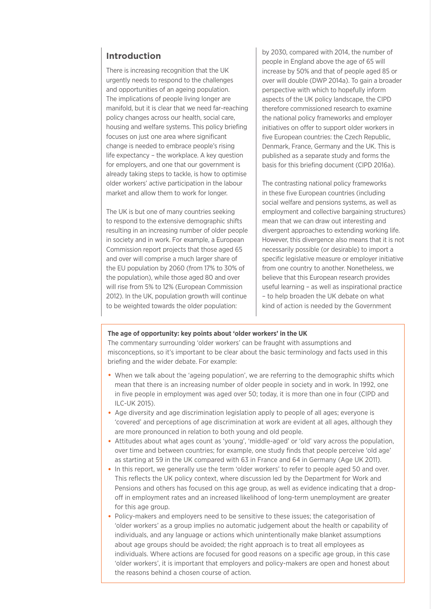## **Introduction**

There is increasing recognition that the UK urgently needs to respond to the challenges and opportunities of an ageing population. The implications of people living longer are manifold, but it is clear that we need far-reaching policy changes across our health, social care, housing and welfare systems. This policy briefing focuses on just one area where significant change is needed to embrace people's rising life expectancy – the workplace. A key question for employers, and one that our government is already taking steps to tackle, is how to optimise older workers' active participation in the labour market and allow them to work for longer.

The UK is but one of many countries seeking to respond to the extensive demographic shifts resulting in an increasing number of older people in society and in work. For example, a European Commission report projects that those aged 65 and over will comprise a much larger share of the EU population by 2060 (from 17% to 30% of the population), while those aged 80 and over will rise from 5% to 12% (European Commission 2012). In the UK, population growth will continue to be weighted towards the older population:

by 2030, compared with 2014, the number of people in England above the age of 65 will increase by 50% and that of people aged 85 or over will double (DWP 2014a). To gain a broader perspective with which to hopefully inform aspects of the UK policy landscape, the CIPD therefore commissioned research to examine the national policy frameworks and employer initiatives on offer to support older workers in five European countries: the Czech Republic, Denmark, France, Germany and the UK. This is published as a separate study and forms the basis for this briefing document (CIPD 2016a).

The contrasting national policy frameworks in these five European countries (including social welfare and pensions systems, as well as employment and collective bargaining structures) mean that we can draw out interesting and divergent approaches to extending working life. However, this divergence also means that it is not necessarily possible (or desirable) to import a specific legislative measure or employer initiative from one country to another. Nonetheless, we believe that this European research provides useful learning – as well as inspirational practice – to help broaden the UK debate on what kind of action is needed by the Government

### **The age of opportunity: key points about 'older workers' in the UK**

The commentary surrounding 'older workers' can be fraught with assumptions and misconceptions, so it's important to be clear about the basic terminology and facts used in this briefing and the wider debate. For example:

- When we talk about the 'ageing population', we are referring to the demographic shifts which mean that there is an increasing number of older people in society and in work. In 1992, one in five people in employment was aged over 50; today, it is more than one in four (CIPD and ILC-UK 2015).
- Age diversity and age discrimination legislation apply to people of all ages; everyone is 'covered' and perceptions of age discrimination at work are evident at all ages, although they are more pronounced in relation to both young and old people.
- Attitudes about what ages count as 'young', 'middle-aged' or 'old' vary across the population, over time and between countries; for example, one study finds that people perceive 'old age' as starting at 59 in the UK compared with 63 in France and 64 in Germany (Age UK 2011).
- In this report, we generally use the term 'older workers' to refer to people aged 50 and over. This reflects the UK policy context, where discussion led by the Department for Work and Pensions and others has focused on this age group, as well as evidence indicating that a dropoff in employment rates and an increased likelihood of long-term unemployment are greater for this age group.
- Policy-makers and employers need to be sensitive to these issues; the categorisation of 'older workers' as a group implies no automatic judgement about the health or capability of individuals, and any language or actions which unintentionally make blanket assumptions about age groups should be avoided; the right approach is to treat all employees as individuals. Where actions are focused for good reasons on a specific age group, in this case 'older workers', it is important that employers and policy-makers are open and honest about the reasons behind a chosen course of action.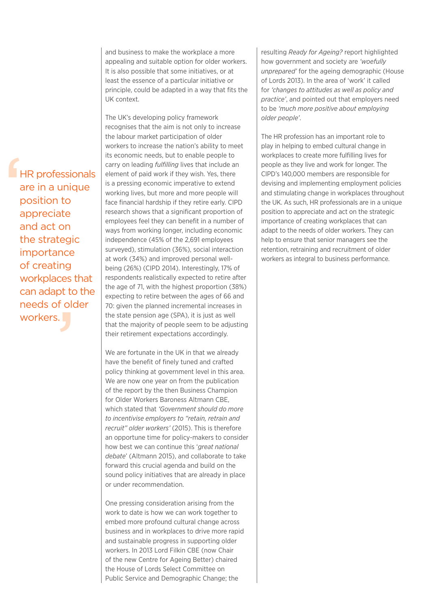e de de ces t<br>bt to<br>i olc<br>J **HR** professionals are in a unique position to appreciate and act on the strategic importance of creating workplaces that can adapt to the needs of older workers.

and business to make the workplace a more appealing and suitable option for older workers. It is also possible that some initiatives, or at least the essence of a particular initiative or principle, could be adapted in a way that fits the UK context.

The UK's developing policy framework recognises that the aim is not only to increase the labour market participation of older workers to increase the nation's ability to meet its economic needs, but to enable people to carry on leading *fulfilling* lives that include an element of paid work if they wish. Yes, there is a pressing economic imperative to extend working lives, but more and more people will face financial hardship if they retire early. CIPD research shows that a significant proportion of employees feel they can benefit in a number of ways from working longer, including economic independence (45% of the 2,691 employees surveyed), stimulation (36%), social interaction at work (34%) and improved personal wellbeing (26%) (CIPD 2014). Interestingly, 17% of respondents realistically expected to retire after the age of 71, with the highest proportion (38%) expecting to retire between the ages of 66 and 70: given the planned incremental increases in the state pension age (SPA), it is just as well that the majority of people seem to be adjusting their retirement expectations accordingly.

We are fortunate in the UK in that we already have the benefit of finely tuned and crafted policy thinking at government level in this area. We are now one year on from the publication of the report by the then Business Champion for Older Workers Baroness Altmann CBE, which stated that *'Government should do more to incentivise employers to "retain, retrain and recruit" older workers'* (2015). This is therefore an opportune time for policy-makers to consider how best we can continue this '*great national debate*' (Altmann 2015), and collaborate to take forward this crucial agenda and build on the sound policy initiatives that are already in place or under recommendation.

One pressing consideration arising from the work to date is how we can work together to embed more profound cultural change across business and in workplaces to drive more rapid and sustainable progress in supporting older workers. In 2013 Lord Filkin CBE (now Chair of the new Centre for Ageing Better) chaired the House of Lords Select Committee on Public Service and Demographic Change; the

resulting *Ready for Ageing?* report highlighted how government and society are *'woefully unprepared'* for the ageing demographic (House of Lords 2013). In the area of 'work' it called for *'changes to attitudes as well as policy and practice'*, and pointed out that employers need to be *'much more positive about employing older people'*.

The HR profession has an important role to play in helping to embed cultural change in workplaces to create more fulfilling lives for people as they live and work for longer. The CIPD's 140,000 members are responsible for devising and implementing employment policies and stimulating change in workplaces throughout the UK. As such, HR professionals are in a unique position to appreciate and act on the strategic importance of creating workplaces that can adapt to the needs of older workers. They can help to ensure that senior managers see the retention, retraining and recruitment of older workers as integral to business performance.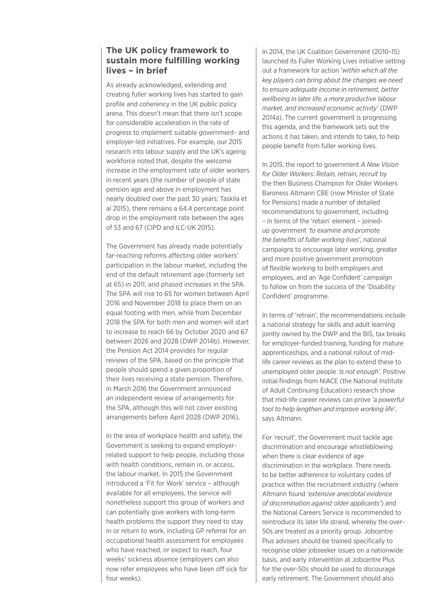## **The UK policy framework to sustain more fulfilling working lives – in brief**

As already acknowledged, extending and creating fuller working lives has started to gain profile and coherency in the UK public policy arena. This doesn't mean that there isn't scope for considerable acceleration in the rate of progress to implement suitable government- and employer-led initiatives. For example, our 2015 research into labour supply and the UK's ageing workforce noted that, despite the welcome increase in the employment rate of older workers in recent years (the number of people of state pension age and above in employment has nearly doubled over the past 30 years; Taskila et al 2015), there remains a 64.4 percentage point drop in the employment rate between the ages of 53 and 67 (CIPD and ILC-UK 2015).

The Government has already made potentially far-reaching reforms affecting older workers' participation in the labour market, including the end of the default retirement age (formerly set at 65) in 2011, and phased increases in the SPA. The SPA will rise to 65 for women between April 2016 and November 2018 to place them on an equal footing with men, while from December 2018 the SPA for both men and women will start to increase to reach 66 by October 2020 and 67 between 2026 and 2028 (DWP 2014b). However, the Pension Act 2014 provides for regular reviews of the SPA, based on the principle that people should spend a given proportion of their lives receiving a state pension. Therefore, in March 2016 the Government announced an independent review of arrangements for the SPA, although this will not cover existing arrangements before April 2028 (DWP 2016).

In the area of workplace health and safety, the Government is seeking to expand employerrelated support to help people, including those with health conditions, remain in, or access, the labour market. In 2015 the Government introduced a 'Fit for Work' service – although available for all employees, the service will nonetheless support this group of workers and can potentially give workers with long-term health problems the support they need to stay in or return to work, including GP referral for an occupational health assessment for employees who have reached, or expect to reach, four weeks' sickness absence (employers can also now refer employees who have been off sick for four weeks).

In 2014, the UK Coalition Government (2010–15) launched its Fuller Working Lives initiative setting out a framework for action *'within which all the key players can bring about the changes we need to ensure adequate income in retirement, better wellbeing in later life, a more productive labour market, and increased economic activity'* (DWP 2014a). The current government is progressing this agenda, and the framework sets out the actions it has taken, and intends to take, to help people benefit from fuller working lives.

In 2015, the report to government *A New Vision for Older Workers: Retain, retrain, recruit* by the then Business Champion for Older Workers Baroness Altmann CBE (now Minister of State for Pensions) made a number of detailed recommendations to government, including – in terms of the 'retain' element – joinedup government *'to examine and promote the benefits of fuller working lives'*, national campaigns to encourage later working, greater and more positive government promotion of flexible working to both employers and employees, and an 'Age Confident' campaign to follow on from the success of the 'Disability Confident' programme.

In terms of 'retrain', the recommendations include a national strategy for skills and adult learning jointly owned by the DWP and the BIS, tax breaks for employer-funded training, funding for mature apprenticeships, and a national rollout of midlife career reviews as the plan to extend these to unemployed older people *'is not enough'*. Positive initial findings from NIACE (the National Institute of Adult Continuing Education) research show that mid-life career reviews can prove *'a powerful tool to help lengthen and improve working life'*, says Altmann.

For 'recruit', the Government must tackle age discrimination and encourage whistleblowing when there is clear evidence of age discrimination in the workplace. There needs to be better adherence to voluntary codes of practice within the recruitment industry (where Altmann found *'extensive anecdotal evidence of discrimination against older applicants'*) and the National Careers Service is recommended to reintroduce its later life strand, whereby the over-50s are treated as a priority group. Jobcentre Plus advisers should be trained specifically to recognise older jobseeker issues on a nationwide basis, and early intervention at Jobcentre Plus for the over-50s should be used to discourage early retirement. The Government should also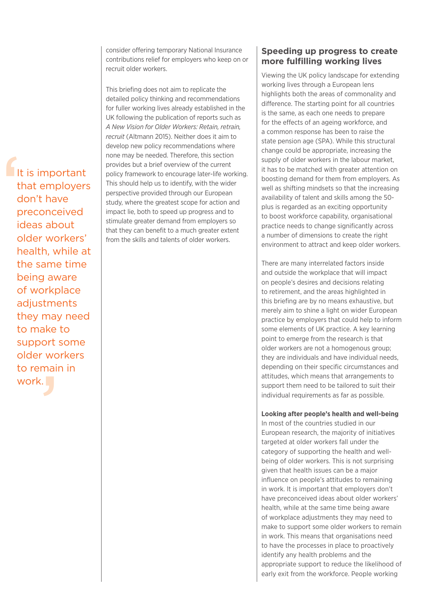consider offering temporary National Insurance contributions relief for employers who keep on or recruit older workers.

This briefing does not aim to replicate the detailed policy thinking and recommendations for fuller working lives already established in the UK following the publication of reports such as *A New Vision for Older Workers: Retain, retrain, recruit* (Altmann 2015). Neither does it aim to develop new policy recommendations where none may be needed. Therefore, this section provides but a brief overview of the current policy framework to encourage later-life working. This should help us to identify, with the wider perspective provided through our European study, where the greatest scope for action and impact lie, both to speed up progress and to stimulate greater demand from employers so that they can benefit to a much greater extent from the skills and talents of older workers.

## **Speeding up progress to create more fulfilling working lives**

Viewing the UK policy landscape for extending working lives through a European lens highlights both the areas of commonality and difference. The starting point for all countries is the same, as each one needs to prepare for the effects of an ageing workforce, and a common response has been to raise the state pension age (SPA). While this structural change could be appropriate, increasing the supply of older workers in the labour market, it has to be matched with greater attention on boosting demand for them from employers. As well as shifting mindsets so that the increasing availability of talent and skills among the 50 plus is regarded as an exciting opportunity to boost workforce capability, organisational practice needs to change significantly across a number of dimensions to create the right environment to attract and keep older workers.

There are many interrelated factors inside and outside the workplace that will impact on people's desires and decisions relating to retirement, and the areas highlighted in this briefing are by no means exhaustive, but merely aim to shine a light on wider European practice by employers that could help to inform some elements of UK practice. A key learning point to emerge from the research is that older workers are not a homogenous group; they are individuals and have individual needs, depending on their specific circumstances and attitudes, which means that arrangements to support them need to be tailored to suit their individual requirements as far as possible.

## **Looking after people's health and well-being**

In most of the countries studied in our European research, the majority of initiatives targeted at older workers fall under the category of supporting the health and wellbeing of older workers. This is not surprising given that health issues can be a major influence on people's attitudes to remaining in work. It is important that employers don't have preconceived ideas about older workers' health, while at the same time being aware of workplace adjustments they may need to make to support some older workers to remain in work. This means that organisations need to have the processes in place to proactively identify any health problems and the appropriate support to reduce the likelihood of early exit from the workforce. People working

It t c p is support some<br>older workers<br>to remain in<br>work. It is important that employers don't have preconceived ideas about older workers' health, while at the same time being aware of workplace adjustments they may need to make to older workers to remain in work.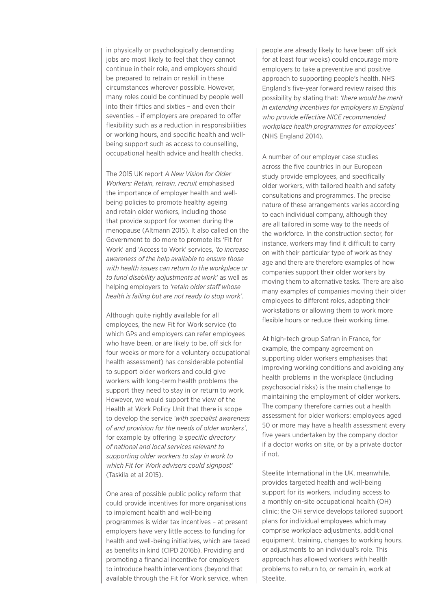in physically or psychologically demanding jobs are most likely to feel that they cannot continue in their role, and employers should be prepared to retrain or reskill in these circumstances wherever possible. However, many roles could be continued by people well into their fifties and sixties – and even their seventies – if employers are prepared to offer flexibility such as a reduction in responsibilities or working hours, and specific health and wellbeing support such as access to counselling, occupational health advice and health checks.

The 2015 UK report *A New Vision for Older Workers: Retain, retrain, recruit* emphasised the importance of employer health and wellbeing policies to promote healthy ageing and retain older workers, including those that provide support for women during the menopause (Altmann 2015). It also called on the Government to do more to promote its 'Fit for Work' and 'Access to Work' services, *'to increase awareness of the help available to ensure those with health issues can return to the workplace or to fund disability adjustments at work'* as well as helping employers to *'retain older staff whose health is failing but are not ready to stop work'*.

Although quite rightly available for all employees, the new Fit for Work service (to which GPs and employers can refer employees who have been, or are likely to be, off sick for four weeks or more for a voluntary occupational health assessment) has considerable potential to support older workers and could give workers with long-term health problems the support they need to stay in or return to work. However, we would support the view of the Health at Work Policy Unit that there is scope to develop the service *'with specialist awareness of and provision for the needs of older workers'*, for example by offering *'a specific directory of national and local services relevant to supporting older workers to stay in work to which Fit for Work advisers could signpost'* (Taskila et al 2015).

One area of possible public policy reform that could provide incentives for more organisations to implement health and well-being programmes is wider tax incentives – at present employers have very little access to funding for health and well-being initiatives, which are taxed as benefits in kind (CIPD 2016b). Providing and promoting a financial incentive for employers to introduce health interventions (beyond that available through the Fit for Work service, when

people are already likely to have been off sick for at least four weeks) could encourage more employers to take a preventive and positive approach to supporting people's health. NHS England's five-year forward review raised this possibility by stating that: *'there would be merit in extending incentives for employers in England who provide effective NICE recommended workplace health programmes for employees'* (NHS England 2014).

A number of our employer case studies across the five countries in our European study provide employees, and specifically older workers, with tailored health and safety consultations and programmes. The precise nature of these arrangements varies according to each individual company, although they are all tailored in some way to the needs of the workforce. In the construction sector, for instance, workers may find it difficult to carry on with their particular type of work as they age and there are therefore examples of how companies support their older workers by moving them to alternative tasks. There are also many examples of companies moving their older employees to different roles, adapting their workstations or allowing them to work more flexible hours or reduce their working time.

At high-tech group Safran in France, for example, the company agreement on supporting older workers emphasises that improving working conditions and avoiding any health problems in the workplace (including psychosocial risks) is the main challenge to maintaining the employment of older workers. The company therefore carries out a health assessment for older workers: employees aged 50 or more may have a health assessment every five years undertaken by the company doctor if a doctor works on site, or by a private doctor if not.

Steelite International in the UK, meanwhile, provides targeted health and well-being support for its workers, including access to a monthly on-site occupational health (OH) clinic; the OH service develops tailored support plans for individual employees which may comprise workplace adjustments, additional equipment, training, changes to working hours, or adjustments to an individual's role. This approach has allowed workers with health problems to return to, or remain in, work at Steelite.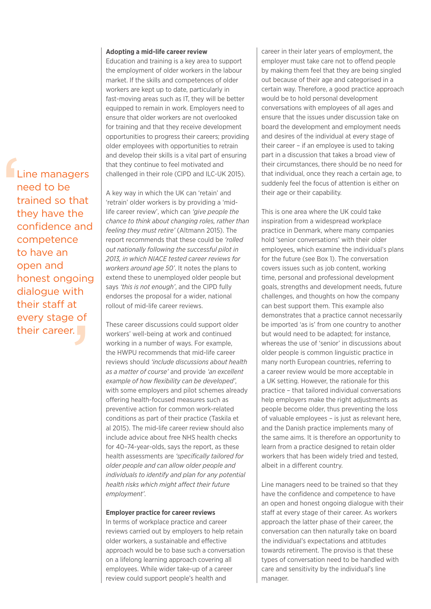#### **Adopting a mid-life career review**

Education and training is a key area to support the employment of older workers in the labour market. If the skills and competences of older workers are kept up to date, particularly in fast-moving areas such as IT, they will be better equipped to remain in work. Employers need to ensure that older workers are not overlooked for training and that they receive development opportunities to progress their careers; providing older employees with opportunities to retrain and develop their skills is a vital part of ensuring that they continue to feel motivated and challenged in their role (CIPD and ILC-UK 2015).

' th<br>t<br>**J Line managers** need to be trained so that they have the confidence and competence to have an open and honest ongoing dialogue with their staff at every stage of their career.

A key way in which the UK can 'retain' and 'retrain' older workers is by providing a 'midlife career review', which can *'give people the chance to think about changing roles, rather than feeling they must retire'* (Altmann 2015). The report recommends that these could be *'rolled out nationally following the successful pilot in 2013, in which NIACE tested career reviews for workers around age 50'*. It notes the plans to extend these to unemployed older people but says *'this is not enough'*, and the CIPD fully endorses the proposal for a wider, national rollout of mid-life career reviews.

These career discussions could support older workers' well-being at work and continued working in a number of ways. For example, the HWPU recommends that mid-life career reviews should *'include discussions about health as a matter of course'* and provide *'an excellent example of how flexibility can be developed'*, with some employers and pilot schemes already offering health-focused measures such as preventive action for common work-related conditions as part of their practice (Taskila et al 2015). The mid-life career review should also include advice about free NHS health checks for 40–74-year-olds, says the report, as these health assessments are *'specifically tailored for older people and can allow older people and individuals to identify and plan for any potential health risks which might affect their future employment'*.

### **Employer practice for career reviews**

In terms of workplace practice and career reviews carried out by employers to help retain older workers, a sustainable and effective approach would be to base such a conversation on a lifelong learning approach covering all employees. While wider take-up of a career review could support people's health and

career in their later years of employment, the employer must take care not to offend people by making them feel that they are being singled out because of their age and categorised in a certain way. Therefore, a good practice approach would be to hold personal development conversations with employees of all ages and ensure that the issues under discussion take on board the development and employment needs and desires of the individual at every stage of their career – if an employee is used to taking part in a discussion that takes a broad view of their circumstances, there should be no need for that individual, once they reach a certain age, to suddenly feel the focus of attention is either on their age or their capability.

This is one area where the UK could take inspiration from a widespread workplace practice in Denmark, where many companies hold 'senior conversations' with their older employees, which examine the individual's plans for the future (see Box 1). The conversation covers issues such as job content, working time, personal and professional development goals, strengths and development needs, future challenges, and thoughts on how the company can best support them. This example also demonstrates that a practice cannot necessarily be imported 'as is' from one country to another but would need to be adapted; for instance, whereas the use of 'senior' in discussions about older people is common linguistic practice in many north European countries, referring to a career review would be more acceptable in a UK setting. However, the rationale for this practice – that tailored individual conversations help employers make the right adjustments as people become older, thus preventing the loss of valuable employees – is just as relevant here, and the Danish practice implements many of the same aims. It is therefore an opportunity to learn from a practice designed to retain older workers that has been widely tried and tested, albeit in a different country.

Line managers need to be trained so that they have the confidence and competence to have an open and honest ongoing dialogue with their staff at every stage of their career. As workers approach the latter phase of their career, the conversation can then naturally take on board the individual's expectations and attitudes towards retirement. The proviso is that these types of conversation need to be handled with care and sensitivity by the individual's line manager.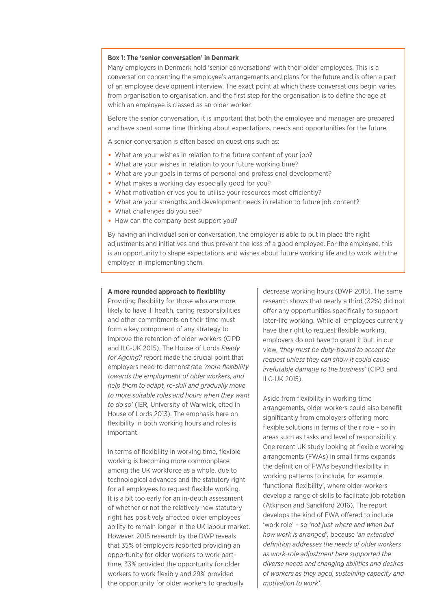#### **Box 1: The 'senior conversation' in Denmark**

Many employers in Denmark hold 'senior conversations' with their older employees. This is a conversation concerning the employee's arrangements and plans for the future and is often a part of an employee development interview. The exact point at which these conversations begin varies from organisation to organisation, and the first step for the organisation is to define the age at which an employee is classed as an older worker.

Before the senior conversation, it is important that both the employee and manager are prepared and have spent some time thinking about expectations, needs and opportunities for the future.

A senior conversation is often based on questions such as:

- What are your wishes in relation to the future content of your job?
- What are your wishes in relation to your future working time?
- What are your goals in terms of personal and professional development?
- What makes a working day especially good for you?
- What motivation drives you to utilise your resources most efficiently?
- What are your strengths and development needs in relation to future job content?
- What challenges do you see?
- How can the company best support you?

By having an individual senior conversation, the employer is able to put in place the right adjustments and initiatives and thus prevent the loss of a good employee. For the employee, this is an opportunity to shape expectations and wishes about future working life and to work with the employer in implementing them.

#### **A more rounded approach to flexibility**

Providing flexibility for those who are more likely to have ill health, caring responsibilities and other commitments on their time must form a key component of any strategy to improve the retention of older workers (CIPD and ILC-UK 2015). The House of Lords *Ready for Ageing?* report made the crucial point that employers need to demonstrate *'more flexibility towards the employment of older workers, and help them to adapt, re-skill and gradually move to more suitable roles and hours when they want to do so'* (IER, University of Warwick, cited in House of Lords 2013). The emphasis here on flexibility in both working hours and roles is important.

In terms of flexibility in working time, flexible working is becoming more commonplace among the UK workforce as a whole, due to technological advances and the statutory right for all employees to request flexible working. It is a bit too early for an in-depth assessment of whether or not the relatively new statutory right has positively affected older employees' ability to remain longer in the UK labour market. However, 2015 research by the DWP reveals that 35% of employers reported providing an opportunity for older workers to work parttime, 33% provided the opportunity for older workers to work flexibly and 29% provided the opportunity for older workers to gradually

decrease working hours (DWP 2015). The same research shows that nearly a third (32%) did not offer any opportunities specifically to support later-life working. While all employees currently have the right to request flexible working, employers do not have to grant it but, in our view, *'they must be duty-bound to accept the request unless they can show it could cause irrefutable damage to the business'* (CIPD and ILC-UK 2015).

Aside from flexibility in working time arrangements, older workers could also benefit significantly from employers offering more flexible solutions in terms of their role – so in areas such as tasks and level of responsibility. One recent UK study looking at flexible working arrangements (FWAs) in small firms expands the definition of FWAs beyond flexibility in working patterns to include, for example, 'functional flexibility', where older workers develop a range of skills to facilitate job rotation (Atkinson and Sandiford 2016). The report develops the kind of FWA offered to include 'work role' – so *'not just where and when but how work is arranged',* because *'an extended definition addresses the needs of older workers as work-role adjustment here supported the diverse needs and changing abilities and desires of workers as they aged, sustaining capacity and motivation to work'.*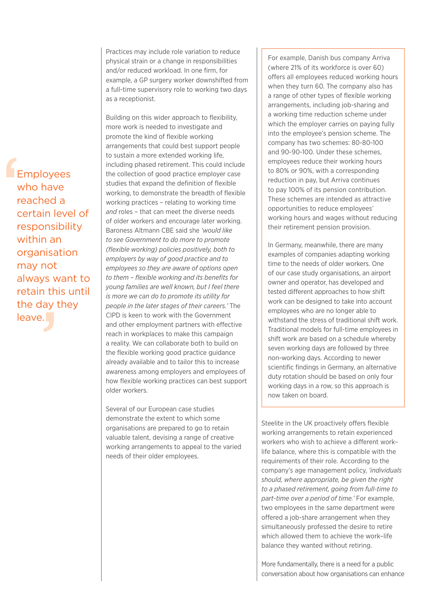E<br>
V<br>
r<br>
c<br>
r always want to<br>retain this until<br>the day they<br>leave. Employees who have reached a certain level of responsibility within an organisation may not retain this until the day they leave.

Practices may include role variation to reduce physical strain or a change in responsibilities and/or reduced workload. In one firm, for example, a GP surgery worker downshifted from a full-time supervisory role to working two days as a receptionist.

Building on this wider approach to flexibility, more work is needed to investigate and promote the kind of flexible working arrangements that could best support people to sustain a more extended working life, including phased retirement. This could include the collection of good practice employer case studies that expand the definition of flexible working, to demonstrate the breadth of flexible working practices – relating to working time *and* roles – that can meet the diverse needs of older workers and encourage later working. Baroness Altmann CBE said she *'would like to see Government to do more to promote (flexible working) policies positively, both to employers by way of good practice and to employees so they are aware of options open to them – flexible working and its benefits for young families are well known, but I feel there is more we can do to promote its utility for people in the later stages of their careers.'* The CIPD is keen to work with the Government and other employment partners with effective reach in workplaces to make this campaign a reality. We can collaborate both to build on the flexible working good practice guidance already available and to tailor this to increase awareness among employers and employees of how flexible working practices can best support older workers.

Several of our European case studies demonstrate the extent to which some organisations are prepared to go to retain valuable talent, devising a range of creative working arrangements to appeal to the varied needs of their older employees.

For example, Danish bus company Arriva (where 21% of its workforce is over 60) offers all employees reduced working hours when they turn 60. The company also has a range of other types of flexible working arrangements, including job-sharing and a working time reduction scheme under which the employer carries on paying fully into the employee's pension scheme. The company has two schemes: 80-80-100 and 90-90-100. Under these schemes, employees reduce their working hours to 80% or 90%, with a corresponding reduction in pay, but Arriva continues to pay 100% of its pension contribution. These schemes are intended as attractive opportunities to reduce employees' working hours and wages without reducing their retirement pension provision.

In Germany, meanwhile, there are many examples of companies adapting working time to the needs of older workers. One of our case study organisations, an airport owner and operator, has developed and tested different approaches to how shift work can be designed to take into account employees who are no longer able to withstand the stress of traditional shift work. Traditional models for full-time employees in shift work are based on a schedule whereby seven working days are followed by three non-working days. According to newer scientific findings in Germany, an alternative duty rotation should be based on only four working days in a row, so this approach is now taken on board.

Steelite in the UK proactively offers flexible working arrangements to retain experienced workers who wish to achieve a different work– life balance, where this is compatible with the requirements of their role. According to the company's age management policy, *'individuals should, where appropriate, be given the right to a phased retirement, going from full-time to part-time over a period of time.'* For example, two employees in the same department were offered a job-share arrangement when they simultaneously professed the desire to retire which allowed them to achieve the work–life balance they wanted without retiring.

More fundamentally, there is a need for a public conversation about how organisations can enhance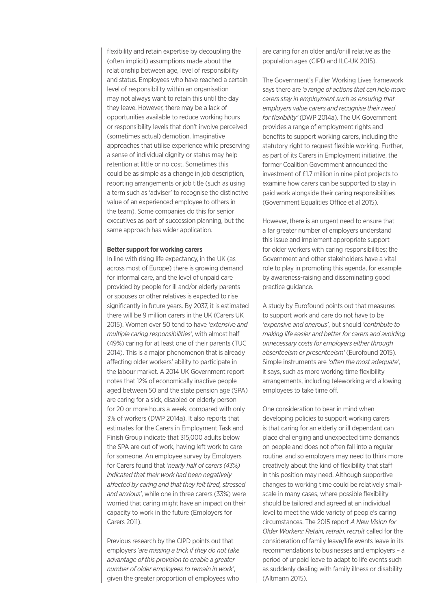flexibility and retain expertise by decoupling the (often implicit) assumptions made about the relationship between age, level of responsibility and status. Employees who have reached a certain level of responsibility within an organisation may not always want to retain this until the day they leave. However, there may be a lack of opportunities available to reduce working hours or responsibility levels that don't involve perceived (sometimes actual) demotion. Imaginative approaches that utilise experience while preserving a sense of individual dignity or status may help retention at little or no cost. Sometimes this could be as simple as a change in job description, reporting arrangements or job title (such as using a term such as 'adviser' to recognise the distinctive value of an experienced employee to others in the team). Some companies do this for senior executives as part of succession planning, but the same approach has wider application.

#### **Better support for working carers**

In line with rising life expectancy, in the UK (as across most of Europe) there is growing demand for informal care, and the level of unpaid care provided by people for ill and/or elderly parents or spouses or other relatives is expected to rise significantly in future years. By 2037, it is estimated there will be 9 million carers in the UK (Carers UK 2015). Women over 50 tend to have *'extensive and multiple caring responsibilities'*, with almost half (49%) caring for at least one of their parents (TUC 2014). This is a major phenomenon that is already affecting older workers' ability to participate in the labour market. A 2014 UK Government report notes that 12% of economically inactive people aged between 50 and the state pension age (SPA) are caring for a sick, disabled or elderly person for 20 or more hours a week, compared with only 3% of workers (DWP 2014a). It also reports that estimates for the Carers in Employment Task and Finish Group indicate that 315,000 adults below the SPA are out of work, having left work to care for someone. An employee survey by Employers for Carers found that *'nearly half of carers (43%) indicated that their work had been negatively affected by caring and that they felt tired, stressed and anxious'*, while one in three carers (33%) were worried that caring might have an impact on their capacity to work in the future (Employers for Carers 2011).

Previous research by the CIPD points out that employers *'are missing a trick if they do not take advantage of this provision to enable a greater number of older employees to remain in work'*, given the greater proportion of employees who

are caring for an older and/or ill relative as the population ages (CIPD and ILC-UK 2015).

The Government's Fuller Working Lives framework says there are *'a range of actions that can help more carers stay in employment such as ensuring that employers value carers and recognise their need for flexibility'* (DWP 2014a). The UK Government provides a range of employment rights and benefits to support working carers, including the statutory right to request flexible working. Further, as part of its Carers in Employment initiative, the former Coalition Government announced the investment of £1.7 million in nine pilot projects to examine how carers can be supported to stay in paid work alongside their caring responsibilities (Government Equalities Office et al 2015).

However, there is an urgent need to ensure that a far greater number of employers understand this issue and implement appropriate support for older workers with caring responsibilities; the Government and other stakeholders have a vital role to play in promoting this agenda, for example by awareness-raising and disseminating good practice guidance.

A study by Eurofound points out that measures to support work and care do not have to be *'expensive and onerous'*, but should *'contribute to making life easier and better for carers and avoiding unnecessary costs for employers either through absenteeism or presenteeism'* (Eurofound 2015). Simple instruments are *'often the most adequate'*, it says, such as more working time flexibility arrangements, including teleworking and allowing employees to take time off.

One consideration to bear in mind when developing policies to support working carers is that caring for an elderly or ill dependant can place challenging and unexpected time demands on people and does not often fall into a regular routine, and so employers may need to think more creatively about the kind of flexibility that staff in this position may need. Although supportive changes to working time could be relatively smallscale in many cases, where possible flexibility should be tailored and agreed at an individual level to meet the wide variety of people's caring circumstances. The 2015 report *A New Vision for Older Workers: Retain, retrain, recruit* called for the consideration of family leave/life events leave in its recommendations to businesses and employers – a period of unpaid leave to adapt to life events such as suddenly dealing with family illness or disability (Altmann 2015).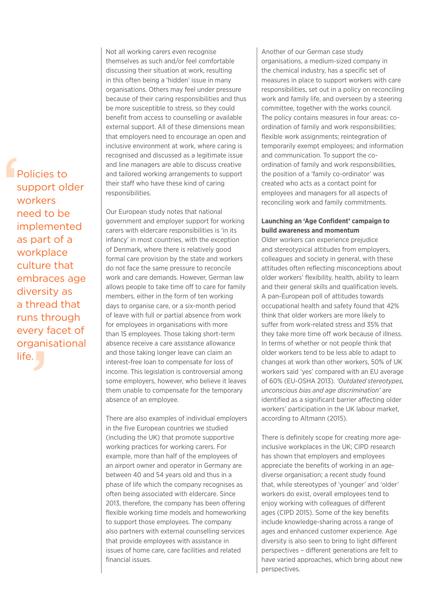F<br>
S<br>
S<br>
In<br>
in runs through<br>every facet of<br>organisationa<br>life. Policies to support older workers need to be implemented as part of a workplace culture that embraces age diversity as a thread that every facet of organisational life.

Not all working carers even recognise themselves as such and/or feel comfortable discussing their situation at work, resulting in this often being a 'hidden' issue in many organisations. Others may feel under pressure because of their caring responsibilities and thus be more susceptible to stress, so they could benefit from access to counselling or available external support. All of these dimensions mean that employers need to encourage an open and inclusive environment at work, where caring is recognised and discussed as a legitimate issue and line managers are able to discuss creative and tailored working arrangements to support their staff who have these kind of caring responsibilities.

Our European study notes that national government and employer support for working carers with eldercare responsibilities is 'in its infancy' in most countries, with the exception of Denmark, where there is relatively good formal care provision by the state and workers do not face the same pressure to reconcile work and care demands. However, German law allows people to take time off to care for family members, either in the form of ten working days to organise care, or a six-month period of leave with full or partial absence from work for employees in organisations with more than 15 employees. Those taking short-term absence receive a care assistance allowance and those taking longer leave can claim an interest-free loan to compensate for loss of income. This legislation is controversial among some employers, however, who believe it leaves them unable to compensate for the temporary absence of an employee.

There are also examples of individual employers in the five European countries we studied (including the UK) that promote supportive working practices for working carers. For example, more than half of the employees of an airport owner and operator in Germany are between 40 and 54 years old and thus in a phase of life which the company recognises as often being associated with eldercare. Since 2013, therefore, the company has been offering flexible working time models and homeworking to support those employees. The company also partners with external counselling services that provide employees with assistance in issues of home care, care facilities and related financial issues.

Another of our German case study organisations, a medium-sized company in the chemical industry, has a specific set of measures in place to support workers with care responsibilities, set out in a policy on reconciling work and family life, and overseen by a steering committee, together with the works council. The policy contains measures in four areas: coordination of family and work responsibilities; flexible work assignments; reintegration of temporarily exempt employees; and information and communication. To support the coordination of family and work responsibilities, the position of a 'family co-ordinator' was created who acts as a contact point for employees and managers for all aspects of reconciling work and family commitments.

## **Launching an 'Age Confident' campaign to build awareness and momentum**

Older workers can experience prejudice and stereotypical attitudes from employers, colleagues and society in general, with these attitudes often reflecting misconceptions about older workers' flexibility, health, ability to learn and their general skills and qualification levels. A pan-European poll of attitudes towards occupational health and safety found that 42% think that older workers are more likely to suffer from work-related stress and 35% that they take more time off work because of illness. In terms of whether or not people think that older workers tend to be less able to adapt to changes at work than other workers, 50% of UK workers said 'yes' compared with an EU average of 60% (EU-OSHA 2013). *'Outdated stereotypes, unconscious bias and age discrimination'* are identified as a significant barrier affecting older workers' participation in the UK labour market, according to Altmann (2015).

There is definitely scope for creating more ageinclusive workplaces in the UK; CIPD research has shown that employers and employees appreciate the benefits of working in an agediverse organisation; a recent study found that, while stereotypes of 'younger' and 'older' workers do exist, overall employees tend to enjoy working with colleagues of different ages (CIPD 2015). Some of the key benefits include knowledge-sharing across a range of ages and enhanced customer experience. Age diversity is also seen to bring to light different perspectives – different generations are felt to have varied approaches, which bring about new perspectives.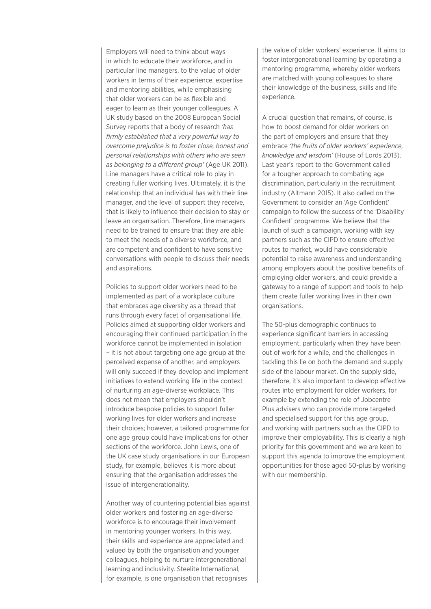Employers will need to think about ways in which to educate their workforce, and in particular line managers, to the value of older workers in terms of their experience, expertise and mentoring abilities, while emphasising that older workers can be as flexible and eager to learn as their younger colleagues. A UK study based on the 2008 European Social Survey reports that a body of research *'has firmly established that a very powerful way to overcome prejudice is to foster close, honest and personal relationships with others who are seen as belonging to a different group'* (Age UK 2011). Line managers have a critical role to play in creating fuller working lives. Ultimately, it is the relationship that an individual has with their line manager, and the level of support they receive, that is likely to influence their decision to stay or leave an organisation. Therefore, line managers need to be trained to ensure that they are able to meet the needs of a diverse workforce, and are competent and confident to have sensitive conversations with people to discuss their needs and aspirations.

Policies to support older workers need to be implemented as part of a workplace culture that embraces age diversity as a thread that runs through every facet of organisational life. Policies aimed at supporting older workers and encouraging their continued participation in the workforce cannot be implemented in isolation – it is not about targeting one age group at the perceived expense of another, and employers will only succeed if they develop and implement initiatives to extend working life in the context of nurturing an age-diverse workplace. This does not mean that employers shouldn't introduce bespoke policies to support fuller working lives for older workers and increase their choices; however, a tailored programme for one age group could have implications for other sections of the workforce. John Lewis, one of the UK case study organisations in our European study, for example, believes it is more about ensuring that the organisation addresses the issue of intergenerationality.

Another way of countering potential bias against older workers and fostering an age-diverse workforce is to encourage their involvement in mentoring younger workers. In this way, their skills and experience are appreciated and valued by both the organisation and younger colleagues, helping to nurture intergenerational learning and inclusivity. Steelite International, for example, is one organisation that recognises

the value of older workers' experience. It aims to foster intergenerational learning by operating a mentoring programme, whereby older workers are matched with young colleagues to share their knowledge of the business, skills and life experience.

A crucial question that remains, of course, is how to boost demand for older workers on the part of employers and ensure that they embrace *'the fruits of older workers' experience, knowledge and wisdom'* (House of Lords 2013). Last year's report to the Government called for a tougher approach to combating age discrimination, particularly in the recruitment industry (Altmann 2015). It also called on the Government to consider an 'Age Confident' campaign to follow the success of the 'Disability Confident' programme. We believe that the launch of such a campaign, working with key partners such as the CIPD to ensure effective routes to market, would have considerable potential to raise awareness and understanding among employers about the positive benefits of employing older workers, and could provide a gateway to a range of support and tools to help them create fuller working lives in their own organisations.

The 50-plus demographic continues to experience significant barriers in accessing employment, particularly when they have been out of work for a while, and the challenges in tackling this lie on both the demand and supply side of the labour market. On the supply side, therefore, it's also important to develop effective routes into employment for older workers, for example by extending the role of Jobcentre Plus advisers who can provide more targeted and specialised support for this age group, and working with partners such as the CIPD to improve their employability. This is clearly a high priority for this government and we are keen to support this agenda to improve the employment opportunities for those aged 50-plus by working with our membership.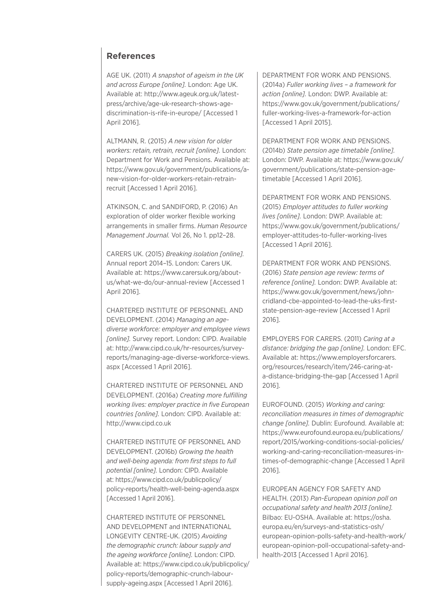## **References**

AGE UK. (2011) *A snapshot of ageism in the UK and across Europe [online].* London: Age UK. Available at: http://www.ageuk.org.uk/latestpress/archive/age-uk-research-shows-agediscrimination-is-rife-in-europe/ [Accessed 1 April 2016].

ALTMANN, R. (2015) *A new vision for older workers: retain, retrain, recruit [online].* London: Department for Work and Pensions. Available at: https://www.gov.uk/government/publications/anew-vision-for-older-workers-retain-retrainrecruit [Accessed 1 April 2016].

ATKINSON, C. and SANDIFORD, P. (2016) An exploration of older worker flexible working arrangements in smaller firms. *Human Resource Management Journal.* Vol 26, No 1. pp12–28.

CARERS UK. (2015) *Breaking isolation [online].* Annual report 2014–15. London: Carers UK. Available at: https://www.carersuk.org/aboutus/what-we-do/our-annual-review [Accessed 1 April 2016].

CHARTERED INSTITUTE OF PERSONNEL AND DEVELOPMENT. (2014) *Managing an agediverse workforce: employer and employee views [online].* Survey report. London: CIPD. Available at: http://www.cipd.co.uk/hr-resources/surveyreports/managing-age-diverse-workforce-views. aspx [Accessed 1 April 2016].

CHARTERED INSTITUTE OF PERSONNEL AND DEVELOPMENT. (2016a) *Creating more fulfilling working lives: employer practice in five European countries [online].* London: CIPD. Available at: http://www.cipd.co.uk

CHARTERED INSTITUTE OF PERSONNEL AND DEVELOPMENT. (2016b) *Growing the health and well-being agenda: from first steps to full potential [online].* London: CIPD. Available at: https://www.cipd.co.uk/publicpolicy/ policy-reports/health-well-being-agenda.aspx [Accessed 1 April 2016].

CHARTERED INSTITUTE OF PERSONNEL AND DEVELOPMENT and INTERNATIONAL LONGEVITY CENTRE-UK. (2015) *Avoiding the demographic crunch: labour supply and the ageing workforce [online].* London: CIPD. Available at: https://www.cipd.co.uk/publicpolicy/ policy-reports/demographic-crunch-laboursupply-ageing.aspx [Accessed 1 April 2016].

DEPARTMENT FOR WORK AND PENSIONS. (2014a) *Fuller working lives – a framework for action [online].* London: DWP. Available at: https://www.gov.uk/government/publications/ fuller-working-lives-a-framework-for-action [Accessed 1 April 2015].

DEPARTMENT FOR WORK AND PENSIONS. (2014b) *State pension age timetable [online].*  London: DWP. Available at: https://www.gov.uk/ government/publications/state-pension-agetimetable [Accessed 1 April 2016].

DEPARTMENT FOR WORK AND PENSIONS. (2015) *Employer attitudes to fuller working lives [online].* London: DWP. Available at: https://www.gov.uk/government/publications/ employer-attitudes-to-fuller-working-lives [Accessed 1 April 2016].

DEPARTMENT FOR WORK AND PENSIONS. (2016) *State pension age review: terms of reference [online].* London: DWP. Available at: https://www.gov.uk/government/news/johncridland-cbe-appointed-to-lead-the-uks-firststate-pension-age-review [Accessed 1 April 2016].

EMPLOYERS FOR CARERS. (2011) *Caring at a distance: bridging the gap [online].* London: EFC. Available at: https://www.employersforcarers. org/resources/research/item/246-caring-ata-distance-bridging-the-gap [Accessed 1 April 2016].

EUROFOUND. (2015) *Working and caring: reconciliation measures in times of demographic change [online].* Dublin: Eurofound. Available at: https://www.eurofound.europa.eu/publications/ report/2015/working-conditions-social-policies/ working-and-caring-reconciliation-measures-intimes-of-demographic-change [Accessed 1 April 2016].

EUROPEAN AGENCY FOR SAFETY AND HEALTH. (2013) *Pan-European opinion poll on occupational safety and health 2013 [online].* Bilbao: EU-OSHA. Available at: https://osha. europa.eu/en/surveys-and-statistics-osh/ european-opinion-polls-safety-and-health-work/ european-opinion-poll-occupational-safety-andhealth-2013 [Accessed 1 April 2016].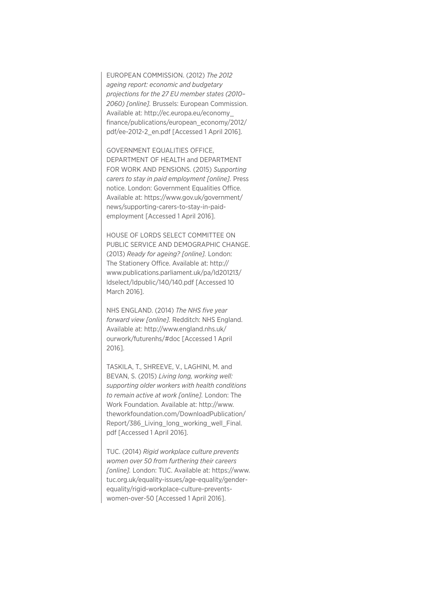EUROPEAN COMMISSION. (2012) *The 2012 ageing report: economic and budgetary projections for the 27 EU member states (2010– 2060) [online].* Brussels: European Commission. Available at: http://ec.europa.eu/economy\_ finance/publications/european\_economy/2012/ pdf/ee-2012-2\_en.pdf [Accessed 1 April 2016].

GOVERNMENT EQUALITIES OFFICE, DEPARTMENT OF HEALTH and DEPARTMENT FOR WORK AND PENSIONS. (2015) *Supporting carers to stay in paid employment [online].* Press notice. London: Government Equalities Office. Available at: https://www.gov.uk/government/ news/supporting-carers-to-stay-in-paidemployment [Accessed 1 April 2016].

HOUSE OF LORDS SELECT COMMITTEE ON PUBLIC SERVICE AND DEMOGRAPHIC CHANGE. (2013) *Ready for ageing? [online].* London: The Stationery Office. Available at: http:// www.publications.parliament.uk/pa/ld201213/ ldselect/ldpublic/140/140.pdf [Accessed 10 March 2016].

NHS ENGLAND. (2014) *The NHS five year forward view [online].* Redditch: NHS England. Available at: http://www.england.nhs.uk/ ourwork/futurenhs/#doc [Accessed 1 April 2016].

TASKILA, T., SHREEVE, V., LAGHINI, M. and BEVAN, S. (2015) *Living long, working well: supporting older workers with health conditions to remain active at work [online].* London: The Work Foundation. Available at: http://www. theworkfoundation.com/DownloadPublication/ Report/386\_Living\_long\_working\_well\_Final. pdf [Accessed 1 April 2016].

TUC. (2014) *Rigid workplace culture prevents women over 50 from furthering their careers [online].* London: TUC. Available at: https://www. tuc.org.uk/equality-issues/age-equality/genderequality/rigid-workplace-culture-preventswomen-over-50 [Accessed 1 April 2016].